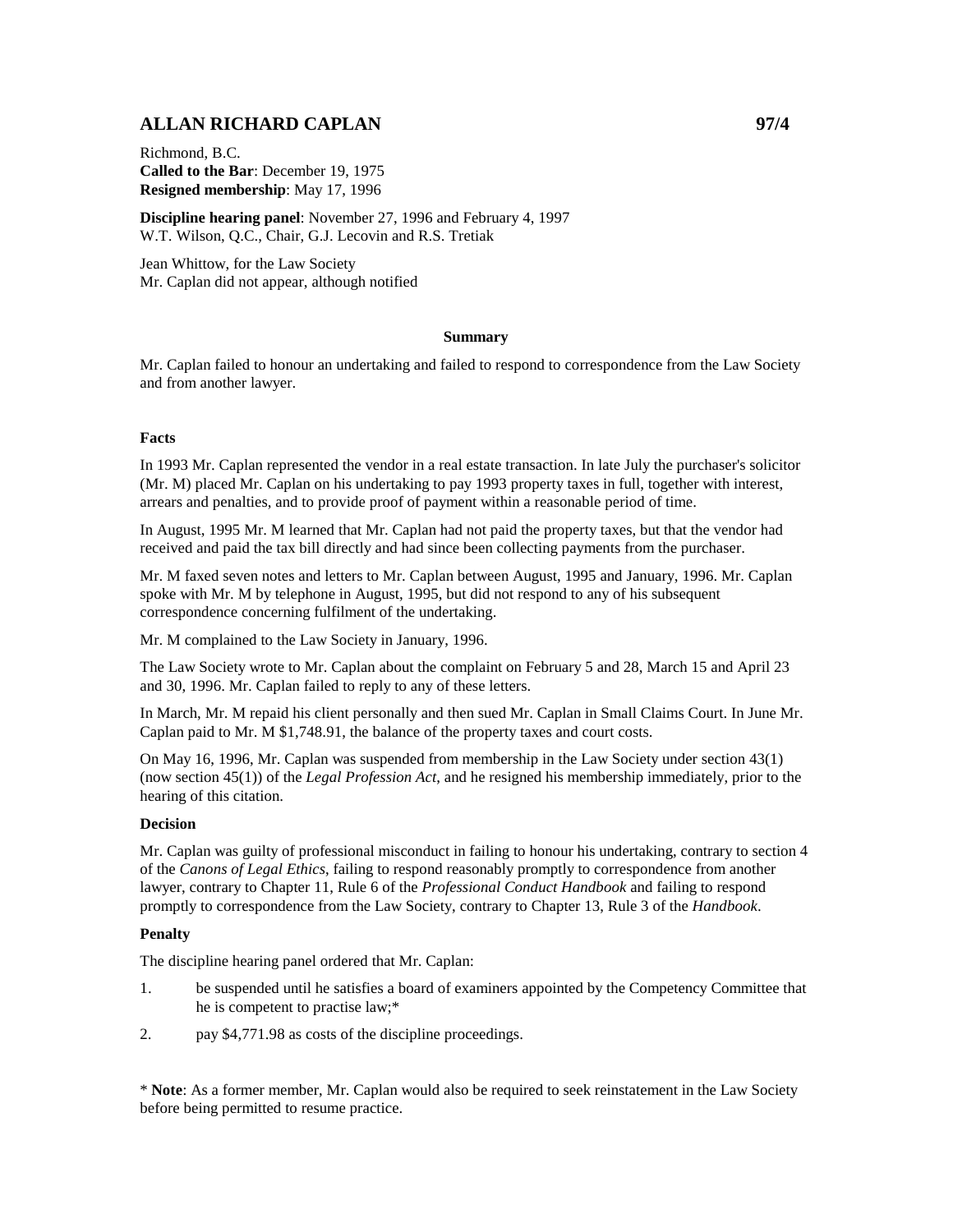# **ALLAN RICHARD CAPLAN 97/4**

Richmond, B.C. **Called to the Bar**: December 19, 1975 **Resigned membership**: May 17, 1996

**Discipline hearing panel**: November 27, 1996 and February 4, 1997 W.T. Wilson, Q.C., Chair, G.J. Lecovin and R.S. Tretiak

Jean Whittow, for the Law Society Mr. Caplan did not appear, although notified

### **Summary**

Mr. Caplan failed to honour an undertaking and failed to respond to correspondence from the Law Society and from another lawyer.

### **Facts**

In 1993 Mr. Caplan represented the vendor in a real estate transaction. In late July the purchaser's solicitor (Mr. M) placed Mr. Caplan on his undertaking to pay 1993 property taxes in full, together with interest, arrears and penalties, and to provide proof of payment within a reasonable period of time.

In August, 1995 Mr. M learned that Mr. Caplan had not paid the property taxes, but that the vendor had received and paid the tax bill directly and had since been collecting payments from the purchaser.

Mr. M faxed seven notes and letters to Mr. Caplan between August, 1995 and January, 1996. Mr. Caplan spoke with Mr. M by telephone in August, 1995, but did not respond to any of his subsequent correspondence concerning fulfilment of the undertaking.

Mr. M complained to the Law Society in January, 1996.

The Law Society wrote to Mr. Caplan about the complaint on February 5 and 28, March 15 and April 23 and 30, 1996. Mr. Caplan failed to reply to any of these letters.

In March, Mr. M repaid his client personally and then sued Mr. Caplan in Small Claims Court. In June Mr. Caplan paid to Mr. M \$1,748.91, the balance of the property taxes and court costs.

On May 16, 1996, Mr. Caplan was suspended from membership in the Law Society under section 43(1) (now section 45(1)) of the *Legal Profession Act*, and he resigned his membership immediately, prior to the hearing of this citation.

## **Decision**

Mr. Caplan was guilty of professional misconduct in failing to honour his undertaking, contrary to section 4 of the *Canons of Legal Ethics*, failing to respond reasonably promptly to correspondence from another lawyer, contrary to Chapter 11, Rule 6 of the *Professional Conduct Handbook* and failing to respond promptly to correspondence from the Law Society, contrary to Chapter 13, Rule 3 of the *Handbook*.

#### **Penalty**

The discipline hearing panel ordered that Mr. Caplan:

- 1. be suspended until he satisfies a board of examiners appointed by the Competency Committee that he is competent to practise law;\*
- 2. pay \$4,771.98 as costs of the discipline proceedings.

\* **Note**: As a former member, Mr. Caplan would also be required to seek reinstatement in the Law Society before being permitted to resume practice.